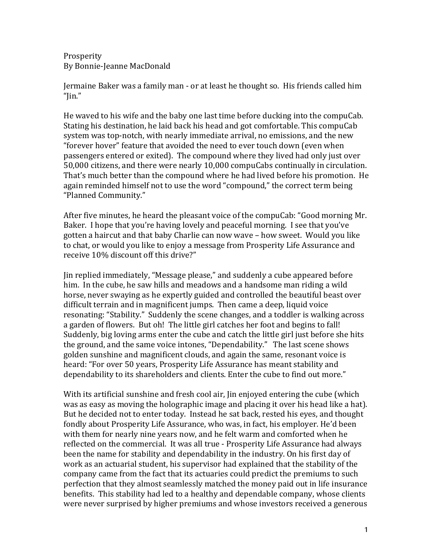**Prosperity** By Bonnie-Jeanne MacDonald

Jermaine Baker was a family man - or at least he thought so. His friends called him "Jin."

He waved to his wife and the baby one last time before ducking into the compuCab. Stating his destination, he laid back his head and got comfortable. This compuCab system was top-notch, with nearly immediate arrival, no emissions, and the new "forever hover" feature that avoided the need to ever touch down (even when passengers entered or exited). The compound where they lived had only just over 50,000 citizens, and there were nearly 10,000 compuCabs continually in circulation. That's much better than the compound where he had lived before his promotion. He again reminded himself not to use the word "compound," the correct term being "Planned Community."

After five minutes, he heard the pleasant voice of the compuCab: "Good morning Mr. Baker. I hope that you're having lovely and peaceful morning. I see that you've gotten a haircut and that baby Charlie can now wave – how sweet. Would you like to chat, or would you like to enjoy a message from Prosperity Life Assurance and receive 10% discount off this drive?"

Jin replied immediately, "Message please," and suddenly a cube appeared before him. In the cube, he saw hills and meadows and a handsome man riding a wild horse, never swaying as he expertly guided and controlled the beautiful beast over difficult terrain and in magnificent jumps. Then came a deep, liquid voice resonating: "Stability." Suddenly the scene changes, and a toddler is walking across a garden of flowers. But oh! The little girl catches her foot and begins to fall! Suddenly, big loving arms enter the cube and catch the little girl just before she hits the ground, and the same voice intones, "Dependability." The last scene shows golden sunshine and magnificent clouds, and again the same, resonant voice is heard: "For over 50 years, Prosperity Life Assurance has meant stability and dependability to its shareholders and clients. Enter the cube to find out more."

With its artificial sunshine and fresh cool air, Jin enjoyed entering the cube (which was as easy as moving the holographic image and placing it over his head like a hat). But he decided not to enter today. Instead he sat back, rested his eyes, and thought fondly about Prosperity Life Assurance, who was, in fact, his employer. He'd been with them for nearly nine years now, and he felt warm and comforted when he reflected on the commercial. It was all true - Prosperity Life Assurance had always been the name for stability and dependability in the industry. On his first day of work as an actuarial student, his supervisor had explained that the stability of the company came from the fact that its actuaries could predict the premiums to such perfection that they almost seamlessly matched the money paid out in life insurance benefits. This stability had led to a healthy and dependable company, whose clients were never surprised by higher premiums and whose investors received a generous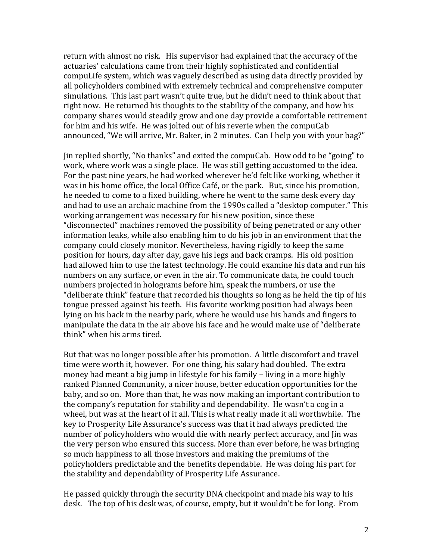return with almost no risk. His supervisor had explained that the accuracy of the actuaries' calculations came from their highly sophisticated and confidential compuLife system, which was vaguely described as using data directly provided by all policyholders combined with extremely technical and comprehensive computer simulations. This last part wasn't quite true, but he didn't need to think about that right now. He returned his thoughts to the stability of the company, and how his company shares would steadily grow and one day provide a comfortable retirement for him and his wife. He was jolted out of his reverie when the compuCab announced, "We will arrive, Mr. Baker, in 2 minutes. Can I help you with your bag?"

Jin replied shortly, "No thanks" and exited the compuCab. How odd to be "going" to work, where work was a single place. He was still getting accustomed to the idea. For the past nine years, he had worked wherever he'd felt like working, whether it was in his home office, the local Office Café, or the park. But, since his promotion, he needed to come to a fixed building, where he went to the same desk every day and had to use an archaic machine from the 1990s called a "desktop computer." This working arrangement was necessary for his new position, since these "disconnected" machines removed the possibility of being penetrated or any other information leaks, while also enabling him to do his job in an environment that the company could closely monitor. Nevertheless, having rigidly to keep the same position for hours, day after day, gave his legs and back cramps. His old position had allowed him to use the latest technology. He could examine his data and run his numbers on any surface, or even in the air. To communicate data, he could touch numbers projected in holograms before him, speak the numbers, or use the "deliberate think" feature that recorded his thoughts so long as he held the tip of his tongue pressed against his teeth. His favorite working position had always been lying on his back in the nearby park, where he would use his hands and fingers to manipulate the data in the air above his face and he would make use of "deliberate" think" when his arms tired.

But that was no longer possible after his promotion. A little discomfort and travel time were worth it, however. For one thing, his salary had doubled. The extra money had meant a big jump in lifestyle for his family  $-$  living in a more highly ranked Planned Community, a nicer house, better education opportunities for the baby, and so on. More than that, he was now making an important contribution to the company's reputation for stability and dependability. He wasn't a cog in a wheel, but was at the heart of it all. This is what really made it all worthwhile. The key to Prosperity Life Assurance's success was that it had always predicted the number of policyholders who would die with nearly perfect accuracy, and Jin was the very person who ensured this success. More than ever before, he was bringing so much happiness to all those investors and making the premiums of the policyholders predictable and the benefits dependable. He was doing his part for the stability and dependability of Prosperity Life Assurance.

He passed quickly through the security DNA checkpoint and made his way to his desk. The top of his desk was, of course, empty, but it wouldn't be for long. From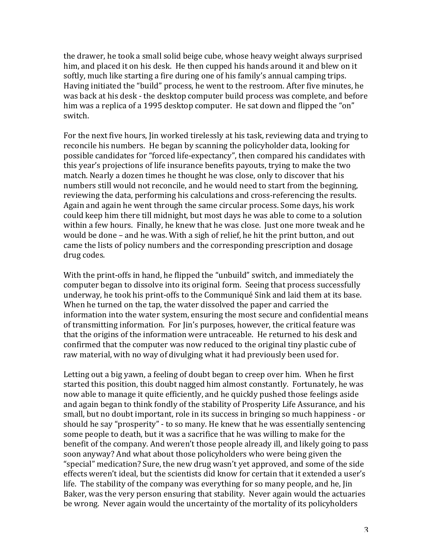the drawer, he took a small solid beige cube, whose heavy weight always surprised him, and placed it on his desk. He then cupped his hands around it and blew on it softly, much like starting a fire during one of his family's annual camping trips. Having initiated the "build" process, he went to the restroom. After five minutes, he was back at his desk - the desktop computer build process was complete, and before him was a replica of a 1995 desktop computer. He sat down and flipped the "on" switch. 

For the next five hours, I in worked tirelessly at his task, reviewing data and trying to reconcile his numbers. He began by scanning the policyholder data, looking for possible candidates for "forced life-expectancy", then compared his candidates with this year's projections of life insurance benefits payouts, trying to make the two match. Nearly a dozen times he thought he was close, only to discover that his numbers still would not reconcile, and he would need to start from the beginning, reviewing the data, performing his calculations and cross-referencing the results. Again and again he went through the same circular process. Some days, his work could keep him there till midnight, but most days he was able to come to a solution within a few hours. Finally, he knew that he was close. Just one more tweak and he would be done – and he was. With a sigh of relief, he hit the print button, and out came the lists of policy numbers and the corresponding prescription and dosage drug codes.

With the print-offs in hand, he flipped the "unbuild" switch, and immediately the computer began to dissolve into its original form. Seeing that process successfully underway, he took his print-offs to the Communiqué Sink and laid them at its base. When he turned on the tap, the water dissolved the paper and carried the information into the water system, ensuring the most secure and confidential means of transmitting information. For lin's purposes, however, the critical feature was that the origins of the information were untraceable. He returned to his desk and confirmed that the computer was now reduced to the original tiny plastic cube of raw material, with no way of divulging what it had previously been used for.

Letting out a big vawn, a feeling of doubt began to creep over him. When he first started this position, this doubt nagged him almost constantly. Fortunately, he was now able to manage it quite efficiently, and he quickly pushed those feelings aside and again began to think fondly of the stability of Prosperity Life Assurance, and his small, but no doubt important, role in its success in bringing so much happiness - or should he say "prosperity" - to so many. He knew that he was essentially sentencing some people to death, but it was a sacrifice that he was willing to make for the benefit of the company. And weren't those people already ill, and likely going to pass soon anyway? And what about those policyholders who were being given the "special" medication? Sure, the new drug wasn't yet approved, and some of the side effects weren't ideal, but the scientists did know for certain that it extended a user's life. The stability of the company was everything for so many people, and he, Jin Baker, was the very person ensuring that stability. Never again would the actuaries be wrong. Never again would the uncertainty of the mortality of its policyholders